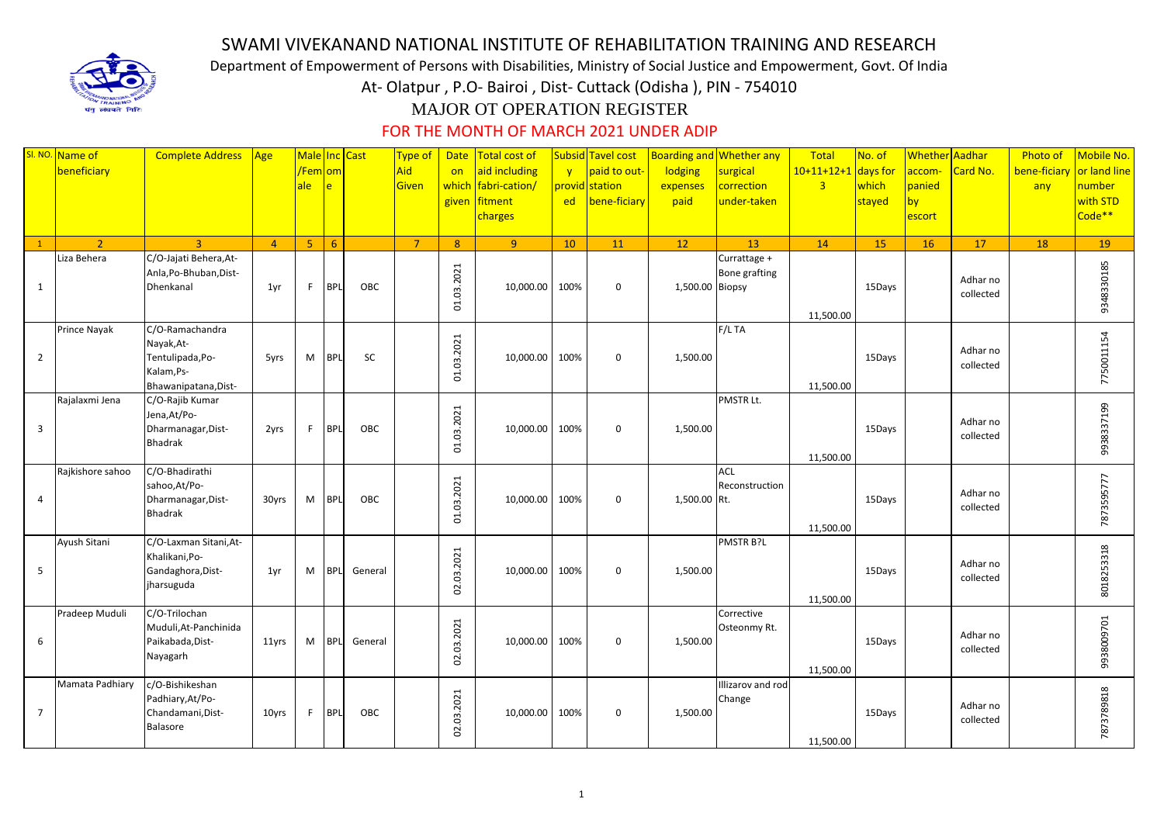## SWAMI VIVEKANAND NATIONAL INSTITUTE OF REHABILITATION TRAINING AND RESEARCH

Department of Empowerment of Persons with Disabilities, Ministry of Social Justice and Empowerment, Govt. Of India

At- Olatpur , P.O- Bairoi , Dist- Cuttack (Odisha ), PIN - 754010

## MAJOR OT OPERATION REGISTER

FOR THE MONTH OF MARCH 2021 UNDER ADIP

|                | SI. NO. Name of<br>beneficiary | <b>Complete Address</b>                                                                 | Age            | Male Inc Cast<br><mark>/Fem om</mark><br>ale l | $\ e\ $    |           | Type of<br>Aid<br>Given | on<br>given  | Date   Total cost of<br>aid including<br>which fabri-cation/<br>fitment<br>charges | $\mathbf{v}$<br>ed | Subsid Tavel cost<br>paid to out-<br>provid station<br>bene-ficiary | lodging<br>expenses<br>paid | Boarding and Whether any<br>surgical<br>correction<br>under-taken | Total<br>$10+11+12+1$<br>$\overline{3}$ | No. of<br>days for<br>which<br>stayed | <b>Whether</b> Aadhar<br>accom-<br>panied<br>by<br>escort | Card No.              | Photo of<br>bene-ficiary<br>any | Mobile No.<br>or land line<br>number<br>with STD<br>Code** |
|----------------|--------------------------------|-----------------------------------------------------------------------------------------|----------------|------------------------------------------------|------------|-----------|-------------------------|--------------|------------------------------------------------------------------------------------|--------------------|---------------------------------------------------------------------|-----------------------------|-------------------------------------------------------------------|-----------------------------------------|---------------------------------------|-----------------------------------------------------------|-----------------------|---------------------------------|------------------------------------------------------------|
|                | $\mathcal{L}$                  | $\overline{3}$                                                                          | $\overline{4}$ | 5 <sup>7</sup>                                 | 6          |           | $\overline{7}$          | $\mathbf{8}$ | $\overline{9}$                                                                     | 10                 | 11                                                                  | 12                          | 13                                                                | <b>14</b>                               | 15                                    | <b>16</b>                                                 | 17                    | 18                              | 19                                                         |
| 1              | Liza Behera                    | C/O-Jajati Behera, At-<br>Anla, Po-Bhuban, Dist-<br>Dhenkanal                           | 1yr            | F.                                             | <b>BPL</b> | OBC       |                         | 01.03.2021   | 10,000.00                                                                          | 100%               | $\mathbf 0$                                                         | 1,500.00 Biopsy             | Currattage +<br><b>Bone grafting</b>                              | 11,500.00                               | 15Days                                |                                                           | Adhar no<br>collected |                                 | 9348330185                                                 |
| $\overline{2}$ | Prince Nayak                   | C/O-Ramachandra<br>Nayak, At-<br>Tentulipada, Po-<br>Kalam, Ps-<br>Bhawanipatana, Dist- | 5yrs           | M                                              | <b>BPL</b> | <b>SC</b> |                         | 01.03.2021   | 10,000.00 100%                                                                     |                    | $\mathbf 0$                                                         | 1,500.00                    | F/LTA                                                             | 11,500.00                               | 15Days                                |                                                           | Adhar no<br>collected |                                 | 7750011154                                                 |
| 3              | Rajalaxmi Jena                 | C/O-Rajib Kumar<br>Jena, At/Po-<br>Dharmanagar, Dist-<br><b>Bhadrak</b>                 | 2yrs           | F.                                             | <b>BPL</b> | OBC       |                         | 01.03.2021   | 10,000.00                                                                          | 100%               | $\mathbf 0$                                                         | 1,500.00                    | PMSTR Lt.                                                         | 11,500.00                               | 15Days                                |                                                           | Adhar no<br>collected |                                 | 9938337199                                                 |
| 4              | Rajkishore sahoo               | C/O-Bhadirathi<br>sahoo, At/Po-<br>Dharmanagar, Dist-<br><b>Bhadrak</b>                 | 30yrs          | M                                              | <b>BPL</b> | OBC       |                         | 01.03.2021   | 10,000.00 100%                                                                     |                    | $\mathbf 0$                                                         | 1,500.00 Rt.                | <b>ACL</b><br>Reconstruction                                      | 11,500.00                               | 15Days                                |                                                           | Adhar no<br>collected |                                 | 7873595777                                                 |
| 5              | Ayush Sitani                   | C/O-Laxman Sitani, At-<br>Khalikani, Po-<br>Gandaghora, Dist-<br>jharsuguda             | 1yr            | M                                              | <b>BPL</b> | General   |                         | 02.03.2021   | 10,000.00                                                                          | 100%               | $\mathbf 0$                                                         | 1,500.00                    | PMSTR B?L                                                         | 11,500.00                               | 15Days                                |                                                           | Adhar no<br>collected |                                 | 8018253318                                                 |
| 6              | Pradeep Muduli                 | C/O-Trilochan<br>Muduli, At-Panchinida<br>Paikabada, Dist-<br>Nayagarh                  | 11yrs          | M                                              | <b>BPL</b> | General   |                         | 02.03.2021   | 10,000.00 100%                                                                     |                    | $\mathbf 0$                                                         | 1,500.00                    | Corrective<br>Osteonmy Rt.                                        | 11,500.00                               | 15Days                                |                                                           | Adhar no<br>collected |                                 | 9938009701                                                 |
| $\overline{7}$ | Mamata Padhiary                | c/O-Bishikeshan<br>Padhiary, At/Po-<br>Chandamani, Dist-<br>Balasore                    | 10yrs          | F                                              | <b>BPL</b> | OBC       |                         | 02.03.2021   | 10,000.00                                                                          | 100%               | $\mathbf 0$                                                         | 1,500.00                    | Illizarov and rod<br>Change                                       | 11,500.00                               | 15Days                                |                                                           | Adhar no<br>collected |                                 | 7873789818                                                 |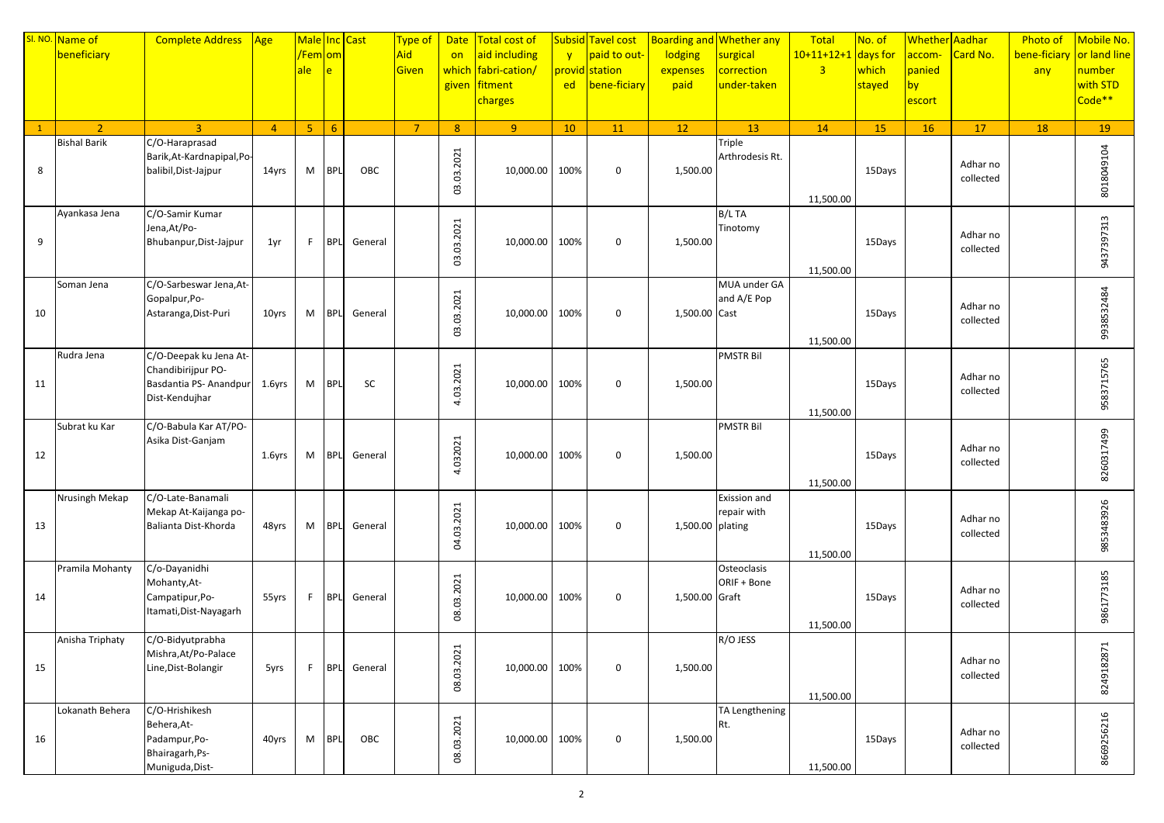|              | SI. NO. Name of     | <b>Complete Address</b>                       | Age            | Male Inc Cast        |            |         | Type of        | <b>Date</b>    | Total cost of       |              | <b>Subsid Tavel cost</b> |                  | <b>Boarding and Whether any</b> | Total                 | No. of    | Whether Aadhar |                       | <b>Photo of</b> | Mobile No.   |
|--------------|---------------------|-----------------------------------------------|----------------|----------------------|------------|---------|----------------|----------------|---------------------|--------------|--------------------------|------------------|---------------------------------|-----------------------|-----------|----------------|-----------------------|-----------------|--------------|
|              | beneficiary         |                                               |                | <mark>/Fem om</mark> |            |         | Aid            | on             | aid including       | $\mathbf{V}$ | paid to out-             | lodging          | surgical                        | $10+11+12+1$ days for |           | accom-         | Card No.              | bene-ficiary    | or land line |
|              |                     |                                               |                | ale                  | e          |         | Given          |                | which fabri-cation/ |              | provid station           | expenses         | correction                      | $\overline{3}$        | which     | panied         |                       | any             | number       |
|              |                     |                                               |                |                      |            |         |                |                | given fitment       | ed           | bene-ficiary             | paid             | under-taken                     |                       | stayed    | by             |                       |                 | with STD     |
|              |                     |                                               |                |                      |            |         |                |                | charges             |              |                          |                  |                                 |                       |           | escort         |                       |                 | Code**       |
|              |                     |                                               |                |                      |            |         |                |                |                     |              |                          |                  |                                 |                       |           |                |                       |                 |              |
| $\mathbf{1}$ | $\overline{2}$      | $\overline{3}$                                | $\overline{4}$ | 5 <sup>7</sup>       | 6          |         | $\overline{7}$ | 8 <sup>°</sup> | 9 <sup>°</sup>      | 10           | 11                       | 12               | 13                              | 14                    | <b>15</b> | <b>16</b>      | 17                    | 18              | 19           |
|              | <b>Bishal Barik</b> | C/O-Haraprasad                                |                |                      |            |         |                |                |                     |              |                          |                  | Triple                          |                       |           |                |                       |                 |              |
|              |                     | Barik, At-Kardnapipal, Po-                    |                |                      |            |         |                | 03.03.2021     |                     |              |                          |                  | Arthrodesis Rt.                 |                       |           |                | Adhar no              |                 | 8018049104   |
| 8            |                     | balibil, Dist-Jajpur                          | 14yrs          | M                    | <b>BPL</b> | OBC     |                |                | 10,000.00           | 100%         | $\boldsymbol{0}$         | 1,500.00         |                                 |                       | 15Days    |                | collected             |                 |              |
|              |                     |                                               |                |                      |            |         |                |                |                     |              |                          |                  |                                 | 11,500.00             |           |                |                       |                 |              |
|              | Ayankasa Jena       | C/O-Samir Kumar                               |                |                      |            |         |                |                |                     |              |                          |                  | B/L TA                          |                       |           |                |                       |                 |              |
|              |                     | Jena, At/Po-                                  |                |                      |            |         |                |                |                     |              |                          |                  | Tinotomy                        |                       |           |                |                       |                 | 9437397313   |
| 9            |                     | Bhubanpur, Dist-Jajpur                        | 1yr            | F.                   | <b>BPL</b> | General |                |                | 10,000.00           | 100%         | $\boldsymbol{0}$         | 1,500.00         |                                 |                       | 15Days    |                | Adhar no              |                 |              |
|              |                     |                                               |                |                      |            |         |                | 03.03.2021     |                     |              |                          |                  |                                 |                       |           |                | collected             |                 |              |
|              |                     |                                               |                |                      |            |         |                |                |                     |              |                          |                  |                                 | 11,500.00             |           |                |                       |                 |              |
|              | Soman Jena          | C/O-Sarbeswar Jena, At-                       |                |                      |            |         |                |                |                     |              |                          |                  | MUA under GA                    |                       |           |                |                       |                 |              |
|              |                     | Gopalpur, Po-                                 |                |                      |            |         |                | 03.03.2021     |                     |              |                          |                  | and A/E Pop                     |                       |           |                | Adhar no              |                 |              |
| 10           |                     | Astaranga, Dist-Puri                          | 10yrs          | M                    | <b>BPL</b> | General |                |                | 10,000.00 100%      |              | $\mathbf 0$              | 1,500.00 Cast    |                                 |                       | 15Days    |                | collected             |                 |              |
|              |                     |                                               |                |                      |            |         |                |                |                     |              |                          |                  |                                 |                       |           |                |                       |                 | 9938532484   |
|              |                     | C/O-Deepak ku Jena At-                        |                |                      |            |         |                |                |                     |              |                          |                  | <b>PMSTR Bil</b>                | 11,500.00             |           |                |                       |                 |              |
|              | Rudra Jena          | Chandibirijpur PO-                            |                |                      |            |         |                |                |                     |              |                          |                  |                                 |                       |           |                |                       |                 |              |
| 11           |                     | Basdantia PS- Anandpur                        | $1.6$ yrs      | M                    | BPL        | SC      |                |                | 10,000.00 100%      |              | $\mathbf 0$              | 1,500.00         |                                 |                       | 15Days    |                | Adhar no              |                 |              |
|              |                     | Dist-Kendujhar                                |                |                      |            |         |                | 4.03.2021      |                     |              |                          |                  |                                 |                       |           |                | collected             |                 | 9583715765   |
|              |                     |                                               |                |                      |            |         |                |                |                     |              |                          |                  |                                 | 11,500.00             |           |                |                       |                 |              |
|              | Subrat ku Kar       | C/O-Babula Kar AT/PO-                         |                |                      |            |         |                |                |                     |              |                          |                  | <b>PMSTR Bil</b>                |                       |           |                |                       |                 |              |
|              |                     | Asika Dist-Ganjam                             |                |                      |            |         |                |                |                     |              |                          |                  |                                 |                       |           |                |                       |                 |              |
| 12           |                     |                                               | $1.6$ yrs      | M                    | <b>BPL</b> | General |                | 4.032021       | 10,000.00           | 100%         | 0                        | 1,500.00         |                                 |                       | 15Days    |                | Adhar no<br>collected |                 |              |
|              |                     |                                               |                |                      |            |         |                |                |                     |              |                          |                  |                                 |                       |           |                |                       |                 | 8260317499   |
|              |                     |                                               |                |                      |            |         |                |                |                     |              |                          |                  |                                 | 11,500.00             |           |                |                       |                 |              |
|              | Nrusingh Mekap      | C/O-Late-Banamali                             |                |                      |            |         |                |                |                     |              |                          |                  | Exission and                    |                       |           |                |                       |                 |              |
|              |                     | Mekap At-Kaijanga po-<br>Balianta Dist-Khorda |                |                      |            |         |                |                |                     |              |                          |                  | repair with                     |                       |           |                | Adhar no              |                 |              |
| 13           |                     |                                               | 48yrs          | M                    | <b>BPL</b> | General |                | 04.03.2021     | 10,000.00           | 100%         | $\boldsymbol{0}$         | 1,500.00 plating |                                 |                       | 15Days    |                | collected             |                 | 9853483926   |
|              |                     |                                               |                |                      |            |         |                |                |                     |              |                          |                  |                                 | 11,500.00             |           |                |                       |                 |              |
|              | Pramila Mohanty     | C/o-Dayanidhi                                 |                |                      |            |         |                |                |                     |              |                          |                  | Osteoclasis                     |                       |           |                |                       |                 |              |
|              |                     | Mohanty, At-                                  |                |                      |            |         |                |                |                     |              |                          |                  | ORIF + Bone                     |                       |           |                |                       |                 | 9861773185   |
| 14           |                     | Campatipur, Po-                               | 55yrs          | F.                   | <b>BPL</b> | General |                |                | 10,000.00           | 100%         | $\boldsymbol{0}$         | 1,500.00 Graft   |                                 |                       | 15Days    |                | Adhar no              |                 |              |
|              |                     | Itamati, Dist-Nayagarh                        |                |                      |            |         |                | 08.03.2021     |                     |              |                          |                  |                                 |                       |           |                | collected             |                 |              |
|              |                     |                                               |                |                      |            |         |                |                |                     |              |                          |                  |                                 | 11,500.00             |           |                |                       |                 |              |
|              | Anisha Triphaty     | C/O-Bidyutprabha                              |                |                      |            |         |                |                |                     |              |                          |                  | R/O JESS                        |                       |           |                |                       |                 |              |
|              |                     | Mishra, At/Po-Palace                          |                |                      |            |         |                | 08.03.2021     |                     |              |                          |                  |                                 |                       |           |                | Adhar no              |                 |              |
| 15           |                     | Line, Dist-Bolangir                           | 5yrs           | F.                   | <b>BPL</b> | General |                |                | 10,000.00 100%      |              | 0                        | 1,500.00         |                                 |                       |           |                | collected             |                 |              |
|              |                     |                                               |                |                      |            |         |                |                |                     |              |                          |                  |                                 |                       |           |                |                       |                 | 8249182871   |
|              | Lokanath Behera     | C/O-Hrishikesh                                |                |                      |            |         |                |                |                     |              |                          |                  | TA Lengthening                  | 11,500.00             |           |                |                       |                 |              |
|              |                     | Behera, At-                                   |                |                      |            |         |                |                |                     |              |                          |                  | Rt.                             |                       |           |                |                       |                 | 8669256216   |
| 16           |                     | Padampur, Po-                                 | 40yrs          | M                    | <b>BPL</b> | OBC     |                |                | 10,000.00 100%      |              | 0                        | 1,500.00         |                                 |                       | 15Days    |                | Adhar no              |                 |              |
|              |                     | Bhairagarh, Ps-                               |                |                      |            |         |                | 08.03.2021     |                     |              |                          |                  |                                 |                       |           |                | collected             |                 |              |
|              |                     | Muniguda, Dist-                               |                |                      |            |         |                |                |                     |              |                          |                  |                                 | 11,500.00             |           |                |                       |                 |              |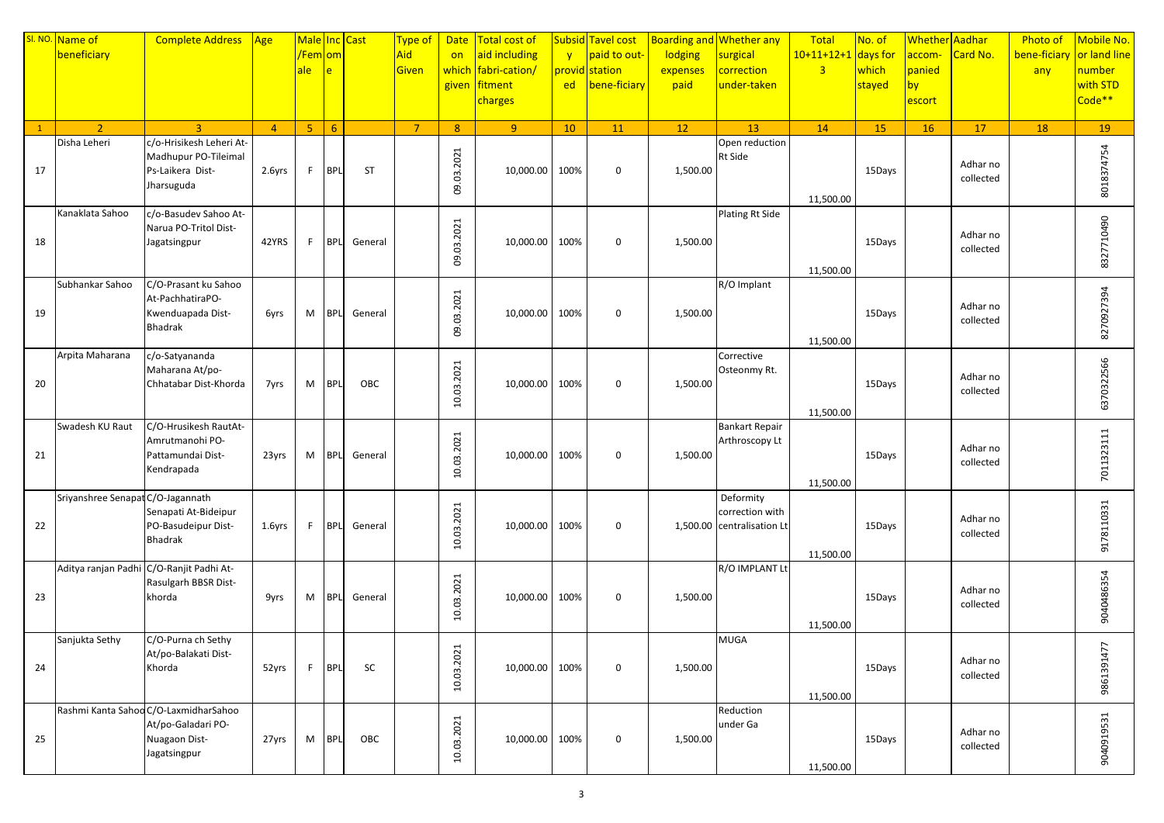|              | SI. NO. Name of                   | <b>Complete Address</b>                                                                      | $\sqrt{Age}$   | Male Inc Cast        |                |           | Type of        |                | Date   Total cost of |              | <b>Subsid Tavel cost</b> |          | <b>Boarding and Whether any</b>               | Total                 | No. of    | Whether Aadhar |                       | <b>Photo of</b>           | Mobile No.         |
|--------------|-----------------------------------|----------------------------------------------------------------------------------------------|----------------|----------------------|----------------|-----------|----------------|----------------|----------------------|--------------|--------------------------|----------|-----------------------------------------------|-----------------------|-----------|----------------|-----------------------|---------------------------|--------------------|
|              | beneficiary                       |                                                                                              |                | <mark>/Fem om</mark> |                |           | Aid            | on             | aid including        | $\mathbf{v}$ | paid to out-             | lodging  | surgical                                      | $10+11+12+1$ days for |           | accom-         | Card No.              | bene-ficiary or land line |                    |
|              |                                   |                                                                                              |                | ale                  | $\overline{e}$ |           | Given          | which          | fabri-cation/        |              | provid station           | expenses | correction                                    | $\overline{3}$        | which     | panied         |                       | any                       | number             |
|              |                                   |                                                                                              |                |                      |                |           |                |                | given fitment        | ed           | bene-ficiary             | paid     | under-taken                                   |                       | stayed    | by             |                       |                           | with STD           |
|              |                                   |                                                                                              |                |                      |                |           |                |                | charges              |              |                          |          |                                               |                       |           | escort         |                       |                           | Code <sup>**</sup> |
|              |                                   |                                                                                              |                |                      |                |           |                |                |                      |              |                          |          |                                               |                       |           |                |                       |                           |                    |
| $\mathbf{1}$ | $\overline{2}$                    | $\mathbf{R}$                                                                                 | $\overline{4}$ | 5 <sub>1</sub>       | $6^{\circ}$    |           | $\overline{7}$ | 8 <sup>°</sup> | 9 <sup>°</sup>       | 10           | 11                       | 12       | 13                                            | 14                    | <b>15</b> | <b>16</b>      | 17                    | 18                        | 19                 |
| 17           | Disha Leheri                      | c/o-Hrisikesh Leheri At-<br>Madhupur PO-Tileimal<br>Ps-Laikera Dist-<br>Jharsuguda           | 2.6yrs         | F.                   | <b>BPL</b>     | <b>ST</b> |                | 09.03.2021     | 10,000.00            | 100%         | $\mathbf 0$              | 1,500.00 | Open reduction<br>Rt Side                     |                       | 15Days    |                | Adhar no<br>collected |                           | 8018374754         |
|              |                                   |                                                                                              |                |                      |                |           |                |                |                      |              |                          |          |                                               | 11,500.00             |           |                |                       |                           |                    |
| 18           | Kanaklata Sahoo                   | c/o-Basudev Sahoo At-<br>Narua PO-Tritol Dist-<br>Jagatsingpur                               | 42YRS          | F.                   | <b>BPL</b>     | General   |                | 09.03.2021     | 10,000.00            | 100%         | $\boldsymbol{0}$         | 1,500.00 | Plating Rt Side                               | 11,500.00             | 15Days    |                | Adhar no<br>collected |                           | 8327710490         |
|              | Subhankar Sahoo                   | C/O-Prasant ku Sahoo                                                                         |                |                      |                |           |                |                |                      |              |                          |          | R/O Implant                                   |                       |           |                |                       |                           |                    |
| 19           |                                   | At-PachhatiraPO-<br>Kwenduapada Dist-<br>Bhadrak                                             | 6yrs           | M                    | <b>BPL</b>     | General   |                | 09.03.2021     | 10,000.00 100%       |              | $\mathbf 0$              | 1,500.00 |                                               | 11,500.00             | 15Days    |                | Adhar no<br>collected |                           | 8270927394         |
|              | Arpita Maharana                   | c/o-Satyananda                                                                               |                |                      |                |           |                |                |                      |              |                          |          | Corrective                                    |                       |           |                |                       |                           |                    |
| 20           |                                   | Maharana At/po-<br>Chhatabar Dist-Khorda                                                     | 7yrs           | M                    | <b>BPL</b>     | OBC       |                | 10.03.2021     | 10,000.00 100%       |              | $\mathbf 0$              | 1,500.00 | Osteonmy Rt.                                  | 11,500.00             | 15Days    |                | Adhar no<br>collected |                           | 6370322566         |
|              | Swadesh KU Raut                   | C/O-Hrusikesh RautAt-                                                                        |                |                      |                |           |                |                |                      |              |                          |          | <b>Bankart Repair</b>                         |                       |           |                |                       |                           |                    |
| 21           |                                   | Amrutmanohi PO-<br>Pattamundai Dist-<br>Kendrapada                                           | 23yrs          | M                    | <b>BPL</b>     | General   |                | 10.03.2021     | 10,000.00            | 100%         | 0                        | 1,500.00 | Arthroscopy Lt                                | 11,500.00             | 15Days    |                | Adhar no<br>collected |                           | 7011323111         |
|              | Sriyanshree Senapat C/O-Jagannath |                                                                                              |                |                      |                |           |                |                |                      |              |                          |          | Deformity                                     |                       |           |                |                       |                           |                    |
| 22           |                                   | Senapati At-Bideipur<br>PO-Basudeipur Dist-<br>Bhadrak                                       | $1.6$ yrs      | F.                   | <b>BPL</b>     | General   |                | 10.03.2021     | 10,000.00            | 100%         | $\boldsymbol{0}$         |          | correction with<br>1,500.00 centralisation Lt | 11,500.00             | 15Days    |                | Adhar no<br>collected |                           | 9178110331         |
|              |                                   | Aditya ranjan Padhi C/O-Ranjit Padhi At-                                                     |                |                      |                |           |                |                |                      |              |                          |          | R/O IMPLANT Lt                                |                       |           |                |                       |                           |                    |
| 23           |                                   | Rasulgarh BBSR Dist-<br>khorda                                                               | 9yrs           | M                    | <b>BPL</b>     | General   |                | 10.03.2021     | 10,000.00 100%       |              | $\boldsymbol{0}$         | 1,500.00 |                                               | 11,500.00             | 15Days    |                | Adhar no<br>collected |                           | 9040486354         |
|              | Sanjukta Sethy                    | C/O-Purna ch Sethy                                                                           |                |                      |                |           |                |                |                      |              |                          |          | <b>MUGA</b>                                   |                       |           |                |                       |                           |                    |
| 24           |                                   | At/po-Balakati Dist-<br>Khorda                                                               | 52yrs          | F.                   | <b>BPL</b>     | SC        |                | 10.03.2021     | 10,000.00 100%       |              | 0                        | 1,500.00 |                                               | 11,500.00             | 15Days    |                | Adhar no<br>collected |                           | 9861391477         |
| 25           |                                   | Rashmi Kanta Sahoo C/O-LaxmidharSahoo<br>At/po-Galadari PO-<br>Nuagaon Dist-<br>Jagatsingpur | 27yrs          | M                    | <b>BPL</b>     | OBC       |                | 10.03.2021     | 10,000.00 100%       |              | 0                        | 1,500.00 | Reduction<br>under Ga                         | 11,500.00             | 15Days    |                | Adhar no<br>collected |                           | 9040919531         |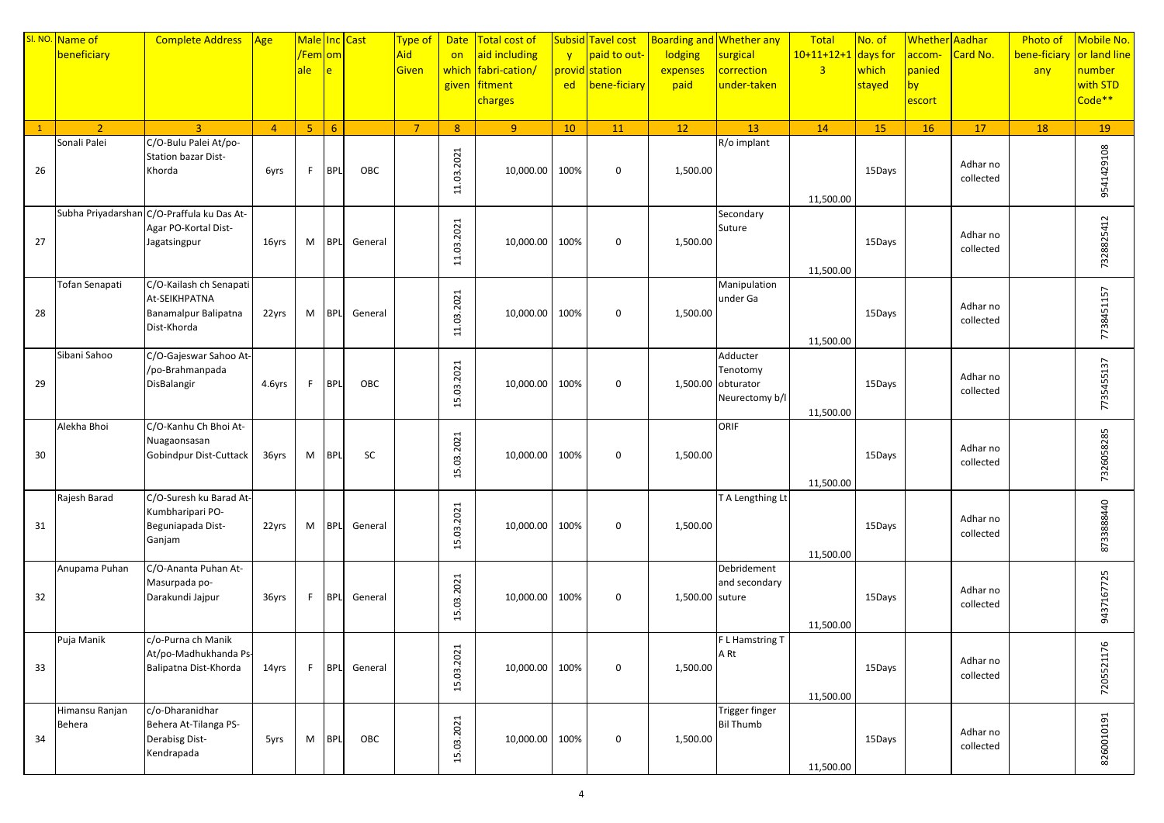|              | SI. NO. Name of | <b>Complete Address</b>                     | Age            | Male Inc Cast        |            |         | Type of        | <b>Date</b>    | Total cost of       |              | <b>Subsid Tavel cost</b> |                 | <b>Boarding and Whether any</b> | Total                 | No. of    | Whether Aadhar |                       | <b>Photo of</b> | Mobile No.   |
|--------------|-----------------|---------------------------------------------|----------------|----------------------|------------|---------|----------------|----------------|---------------------|--------------|--------------------------|-----------------|---------------------------------|-----------------------|-----------|----------------|-----------------------|-----------------|--------------|
|              | beneficiary     |                                             |                | <mark>/Fem om</mark> |            |         | Aid            | on             | aid including       | $\mathbf{v}$ | paid to out-             | lodging         | surgical                        | $10+11+12+1$ days for |           | accom-         | Card No.              | bene-ficiary    | or land line |
|              |                 |                                             |                | ale                  | e          |         | Given          |                | which fabri-cation/ |              | provid station           | expenses        | correction                      | $\overline{3}$        | which     | panied         |                       | any             | number       |
|              |                 |                                             |                |                      |            |         |                |                | given fitment       | ed           | bene-ficiary             | paid            | under-taken                     |                       | stayed    | by             |                       |                 | with STD     |
|              |                 |                                             |                |                      |            |         |                |                | charges             |              |                          |                 |                                 |                       |           | escort         |                       |                 | Code**       |
|              |                 |                                             |                |                      |            |         |                |                |                     |              |                          |                 |                                 |                       |           |                |                       |                 |              |
| $\mathbf{1}$ | $\overline{2}$  | $\overline{3}$                              | $\overline{4}$ | 5 <sup>7</sup>       | 6          |         | $\overline{7}$ | 8 <sup>°</sup> | 9 <sup>°</sup>      | 10           | 11                       | 12              | 13                              | 14                    | <b>15</b> | <b>16</b>      | 17                    | 18              | 19           |
|              | Sonali Palei    | C/O-Bulu Palei At/po-                       |                |                      |            |         |                |                |                     |              |                          |                 | R/o implant                     |                       |           |                |                       |                 |              |
|              |                 | Station bazar Dist-                         |                |                      |            |         |                | 11.03.2021     |                     |              |                          |                 |                                 |                       |           |                | Adhar no              |                 | 9541429108   |
| 26           |                 | Khorda                                      | 6yrs           | F                    | <b>BPL</b> | OBC     |                |                | 10,000.00           | 100%         | $\mathbf 0$              | 1,500.00        |                                 |                       | 15Days    |                | collected             |                 |              |
|              |                 |                                             |                |                      |            |         |                |                |                     |              |                          |                 |                                 | 11,500.00             |           |                |                       |                 |              |
|              |                 | Subha Priyadarshan C/O-Praffula ku Das At-  |                |                      |            |         |                |                |                     |              |                          |                 | Secondary                       |                       |           |                |                       |                 |              |
|              |                 | Agar PO-Kortal Dist-                        |                |                      |            |         |                |                |                     |              |                          |                 | Suture                          |                       |           |                |                       |                 | 7328825412   |
| 27           |                 | Jagatsingpur                                | 16yrs          | M                    | <b>BPL</b> | General |                |                | 10,000.00           | 100%         | $\boldsymbol{0}$         | 1,500.00        |                                 |                       | 15Days    |                | Adhar no              |                 |              |
|              |                 |                                             |                |                      |            |         |                | 11.03.2021     |                     |              |                          |                 |                                 |                       |           |                | collected             |                 |              |
|              |                 |                                             |                |                      |            |         |                |                |                     |              |                          |                 |                                 | 11,500.00             |           |                |                       |                 |              |
|              | Tofan Senapati  | C/O-Kailash ch Senapati                     |                |                      |            |         |                |                |                     |              |                          |                 | Manipulation                    |                       |           |                |                       |                 |              |
|              |                 | At-SEIKHPATNA                               |                |                      |            |         |                | 11.03.2021     |                     |              |                          |                 | under Ga                        |                       |           |                | Adhar no              |                 |              |
| 28           |                 | Banamalpur Balipatna                        | 22yrs          | M                    | <b>BPL</b> | General |                |                | 10,000.00 100%      |              | $\mathbf 0$              | 1,500.00        |                                 |                       | 15Days    |                | collected             |                 |              |
|              |                 | Dist-Khorda                                 |                |                      |            |         |                |                |                     |              |                          |                 |                                 |                       |           |                |                       |                 | 7738451157   |
|              | Sibani Sahoo    | C/O-Gajeswar Sahoo At-                      |                |                      |            |         |                |                |                     |              |                          |                 | Adducter                        | 11,500.00             |           |                |                       |                 |              |
|              |                 | /po-Brahmanpada                             |                |                      |            |         |                |                |                     |              |                          |                 | Tenotomy                        |                       |           |                |                       |                 |              |
| 29           |                 | DisBalangir                                 | 4.6yrs         | F                    | <b>BPL</b> | OBC     |                |                | 10,000.00 100%      |              | $\mathbf 0$              |                 | 1,500.00 obturator              |                       | 15Days    |                | Adhar no              |                 |              |
|              |                 |                                             |                |                      |            |         |                | 15.03.2021     |                     |              |                          |                 | Neurectomy b/l                  |                       |           |                | collected             |                 | 7735455137   |
|              |                 |                                             |                |                      |            |         |                |                |                     |              |                          |                 |                                 | 11,500.00             |           |                |                       |                 |              |
|              | Alekha Bhoi     | C/O-Kanhu Ch Bhoi At-                       |                |                      |            |         |                |                |                     |              |                          |                 | ORIF                            |                       |           |                |                       |                 |              |
|              |                 | Nuagaonsasan                                |                |                      |            |         |                | 15.03.2021     |                     |              |                          |                 |                                 |                       |           |                | Adhar no              |                 |              |
| 30           |                 | Gobindpur Dist-Cuttack                      | 36yrs          | M                    | <b>BPL</b> | SC      |                |                | 10,000.00           | 100%         | $\boldsymbol{0}$         | 1,500.00        |                                 |                       | 15Days    |                | collected             |                 |              |
|              |                 |                                             |                |                      |            |         |                |                |                     |              |                          |                 |                                 |                       |           |                |                       |                 | 7326058285   |
|              |                 |                                             |                |                      |            |         |                |                |                     |              |                          |                 |                                 | 11,500.00             |           |                |                       |                 |              |
|              | Rajesh Barad    | C/O-Suresh ku Barad At-<br>Kumbharipari PO- |                |                      |            |         |                |                |                     |              |                          |                 | T A Lengthing Lt                |                       |           |                |                       |                 |              |
| 31           |                 | Beguniapada Dist-                           | 22yrs          | M                    | <b>BPL</b> | General |                |                | 10,000.00           | 100%         | $\boldsymbol{0}$         | 1,500.00        |                                 |                       | 15Days    |                | Adhar no              |                 |              |
|              |                 | Ganjam                                      |                |                      |            |         |                | 15.03.2021     |                     |              |                          |                 |                                 |                       |           |                | collected             |                 | 8733888440   |
|              |                 |                                             |                |                      |            |         |                |                |                     |              |                          |                 |                                 | 11,500.00             |           |                |                       |                 |              |
|              | Anupama Puhan   | C/O-Ananta Puhan At-                        |                |                      |            |         |                |                |                     |              |                          |                 | Debridement                     |                       |           |                |                       |                 |              |
|              |                 | Masurpada po-                               |                |                      |            |         |                | 15.03.2021     |                     |              |                          |                 | and secondary                   |                       |           |                | Adhar no              |                 |              |
| 32           |                 | Darakundi Jajpur                            | 36yrs          | F.                   | <b>BPL</b> | General |                |                | 10,000.00           | 100%         | $\boldsymbol{0}$         | 1,500.00 suture |                                 |                       | 15Days    |                | collected             |                 |              |
|              |                 |                                             |                |                      |            |         |                |                |                     |              |                          |                 |                                 |                       |           |                |                       |                 | 9437167725   |
|              |                 |                                             |                |                      |            |         |                |                |                     |              |                          |                 |                                 | 11,500.00             |           |                |                       |                 |              |
|              | Puja Manik      | c/o-Purna ch Manik<br>At/po-Madhukhanda Ps- |                |                      |            |         |                |                |                     |              |                          |                 | F L Hamstring T                 |                       |           |                |                       |                 | 76           |
| 33           |                 | Balipatna Dist-Khorda                       | 14yrs          | F.                   | <b>BPL</b> | General |                |                | 10,000.00 100%      |              | 0                        | 1,500.00        | A Rt                            |                       | 15Days    |                | Adhar no              |                 |              |
|              |                 |                                             |                |                      |            |         |                | 15.03.2021     |                     |              |                          |                 |                                 |                       |           |                | collected             |                 | 72055211     |
|              |                 |                                             |                |                      |            |         |                |                |                     |              |                          |                 |                                 | 11,500.00             |           |                |                       |                 |              |
|              | Himansu Ranjan  | c/o-Dharanidhar                             |                |                      |            |         |                |                |                     |              |                          |                 | Trigger finger                  |                       |           |                |                       |                 |              |
|              | Behera          | Behera At-Tilanga PS-                       |                |                      |            |         |                | 15.03.2021     |                     |              |                          |                 | <b>Bil Thumb</b>                |                       |           |                |                       |                 | 8260010191   |
| 34           |                 | Derabisg Dist-                              | 5yrs           | M                    | <b>BPL</b> | OBC     |                |                | 10,000.00 100%      |              | $\boldsymbol{0}$         | 1,500.00        |                                 |                       | 15Days    |                | Adhar no<br>collected |                 |              |
|              |                 | Kendrapada                                  |                |                      |            |         |                |                |                     |              |                          |                 |                                 |                       |           |                |                       |                 |              |
|              |                 |                                             |                |                      |            |         |                |                |                     |              |                          |                 |                                 | 11,500.00             |           |                |                       |                 |              |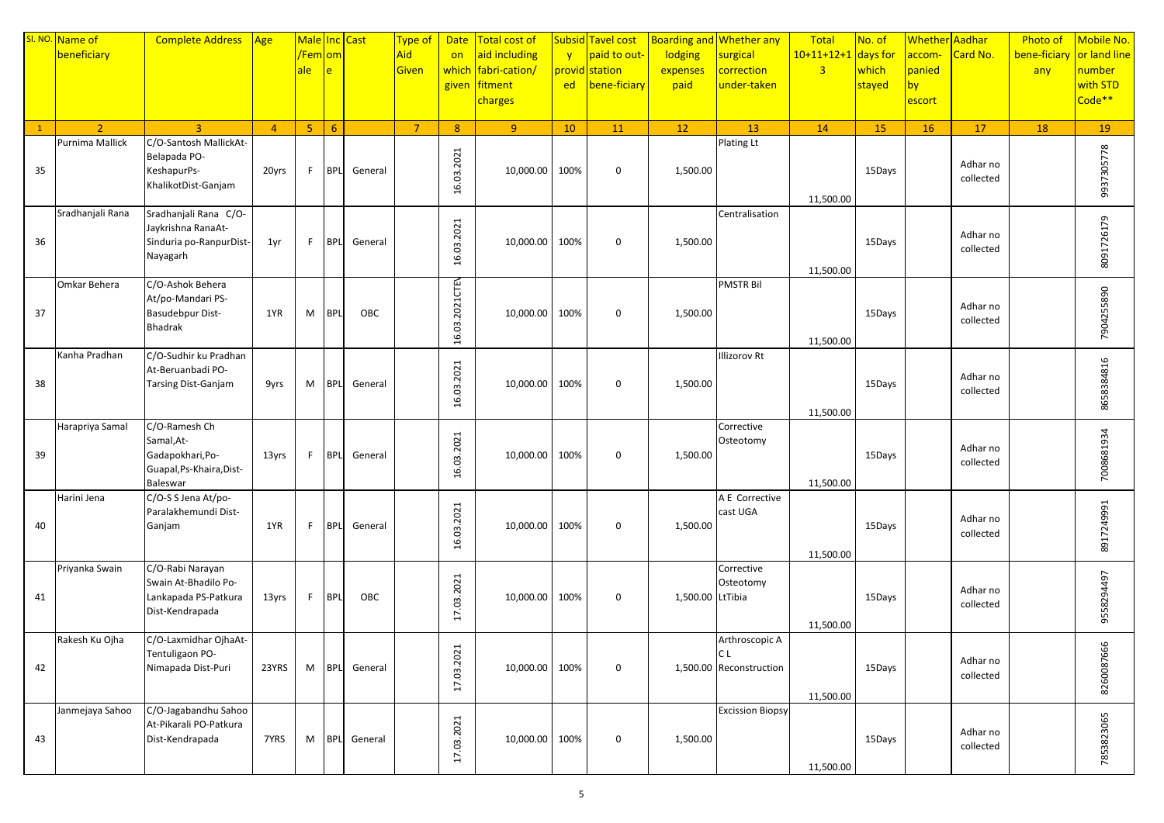|              | SI. NO. Name of  | <b>Complete Address</b>                                                            | Age            | Male Inc Cast  |             |                    | Type of        | <b>Date</b>    | Total cost of  |              | Subsid Tavel cost |                  | <b>Boarding and Whether any</b> | Total          | No. of    | Whether Aadhar |                       | <b>Photo of</b>           | Mobile No. |
|--------------|------------------|------------------------------------------------------------------------------------|----------------|----------------|-------------|--------------------|----------------|----------------|----------------|--------------|-------------------|------------------|---------------------------------|----------------|-----------|----------------|-----------------------|---------------------------|------------|
|              | beneficiary      |                                                                                    |                | /Fem om        |             |                    | Aid            | on             | aid including  | $\mathbf{V}$ | paid to out-      | lodging          | surgical                        | $10+11+12+1$   | days for  | accom-         | Card No.              | bene-ficiary or land line |            |
|              |                  |                                                                                    |                | ale            | e           |                    | Given          | which          | fabri-cation/  |              | provid station    | expenses         | correction                      | $\overline{3}$ | which     | panied         |                       | any                       | number     |
|              |                  |                                                                                    |                |                |             |                    |                | given          | fitment        | ed           | bene-ficiary      | paid             | under-taken                     |                | stayed    | by             |                       |                           | with STD   |
|              |                  |                                                                                    |                |                |             |                    |                |                | charges        |              |                   |                  |                                 |                |           | escort         |                       |                           | Code**     |
|              |                  |                                                                                    |                |                |             |                    |                |                |                |              |                   |                  |                                 |                |           |                |                       |                           |            |
| $\mathbf{1}$ | $\overline{2}$   | $\overline{3}$                                                                     | $\overline{4}$ | 5 <sub>1</sub> | $6^{\circ}$ |                    | $\overline{7}$ | 8              | 9 <sup>°</sup> | 10           | 11                | 12               | 13                              | 14             | <b>15</b> | <b>16</b>      | 17                    | 18                        | 19         |
| 35           | Purnima Mallick  | C/O-Santosh MallickAt-<br>Belapada PO-<br>KeshapurPs-<br>KhalikotDist-Ganjam       | 20yrs          | F.             | <b>BPL</b>  | General            |                | 16.03.2021     | 10,000.00      | 100%         | $\mathbf 0$       | 1,500.00         | Plating Lt                      | 11,500.00      | 15Days    |                | Adhar no<br>collected |                           | 9937305778 |
| 36           | Sradhanjali Rana | Sradhanjali Rana C/O-<br>Jaykrishna RanaAt-<br>Sinduria po-RanpurDist-<br>Nayagarh | 1yr            | F.             | <b>BPL</b>  | General            |                | 16.03.2021     | 10,000.00      | 100%         | $\mathbf 0$       | 1,500.00         | Centralisation                  | 11,500.00      | 15Days    |                | Adhar no<br>collected |                           | 8091726179 |
|              | Omkar Behera     | C/O-Ashok Behera                                                                   |                |                |             |                    |                |                |                |              |                   |                  | <b>PMSTR Bil</b>                |                |           |                |                       |                           |            |
| 37           |                  | At/po-Mandari PS-<br>Basudebpur Dist-<br>Bhadrak                                   | 1YR            | M              | <b>BPL</b>  | OBC                |                | 16.03.2021CTEN | 10,000.00      | 100%         | $\mathbf 0$       | 1,500.00         |                                 | 11,500.00      | 15Days    |                | Adhar no<br>collected |                           | 7904255890 |
|              | Kanha Pradhan    | C/O-Sudhir ku Pradhan                                                              |                |                |             |                    |                |                |                |              |                   |                  | <b>Illizorov Rt</b>             |                |           |                |                       |                           |            |
| 38           |                  | At-Beruanbadi PO-<br>Tarsing Dist-Ganjam                                           | 9yrs           | M              | <b>BPL</b>  | General            |                | 16.03.2021     | 10,000.00      | 100%         | $\mathbf 0$       | 1,500.00         |                                 | 11,500.00      | 15Days    |                | Adhar no<br>collected |                           | 8658384816 |
|              | Harapriya Samal  | C/O-Ramesh Ch                                                                      |                |                |             |                    |                |                |                |              |                   |                  | Corrective                      |                |           |                |                       |                           |            |
| 39           |                  | Samal, At-<br>Gadapokhari, Po-<br>Guapal, Ps-Khaira, Dist-<br>Baleswar             | 13yrs          | F.             | <b>BPL</b>  | General            |                | 16.03.2021     | 10,000.00      | 100%         | 0                 | 1,500.00         | Osteotomy                       | 11,500.00      | 15Days    |                | Adhar no<br>collected |                           | 7008681934 |
|              | Harini Jena      | C/O-S S Jena At/po-                                                                |                |                |             |                    |                |                |                |              |                   |                  | A E Corrective                  |                |           |                |                       |                           |            |
| 40           |                  | Paralakhemundi Dist-<br>Ganjam                                                     | 1YR            | F              | <b>BPL</b>  | General            |                | 16.03.2021     | 10,000.00      | 100%         | $\mathbf 0$       | 1,500.00         | cast UGA                        | 11,500.00      | 15Days    |                | Adhar no<br>collected |                           | 8917249991 |
|              | Priyanka Swain   | C/O-Rabi Narayan                                                                   |                |                |             |                    |                |                |                |              |                   |                  | Corrective                      |                |           |                |                       |                           |            |
| 41           |                  | Swain At-Bhadilo Po-<br>Lankapada PS-Patkura<br>Dist-Kendrapada                    | 13yrs          | F.             | <b>BPL</b>  | OBC                |                | 17.03.2021     | 10,000.00      | 100%         | $\mathbf 0$       | 1,500.00 LtTibia | Osteotomy                       | 11,500.00      | 15Days    |                | Adhar no<br>collected |                           | 9558294497 |
|              | Rakesh Ku Ojha   | C/O-Laxmidhar OjhaAt-                                                              |                |                |             |                    |                |                |                |              |                   |                  | Arthroscopic A                  |                |           |                |                       |                           |            |
| 42           |                  | Tentuligaon PO-<br>Nimapada Dist-Puri                                              | 23YRS          | M              | <b>BPL</b>  | General            |                | 17.03.2021     | 10,000.00 100% |              | 0                 |                  | IC L<br>1,500.00 Reconstruction | 11,500.00      | 15Days    |                | Adhar no<br>collected |                           | 8260087666 |
| 43           | Janmejaya Sahoo  | C/O-Jagabandhu Sahoo<br>At-Pikarali PO-Patkura<br>Dist-Kendrapada                  | 7YRS           | M              |             | <b>BPL</b> General |                | 17.03.2021     | 10,000.00 100% |              | $\mathbf 0$       | 1,500.00         | <b>Excission Biopsy</b>         | 11,500.00      | 15Days    |                | Adhar no<br>collected |                           | 7853823065 |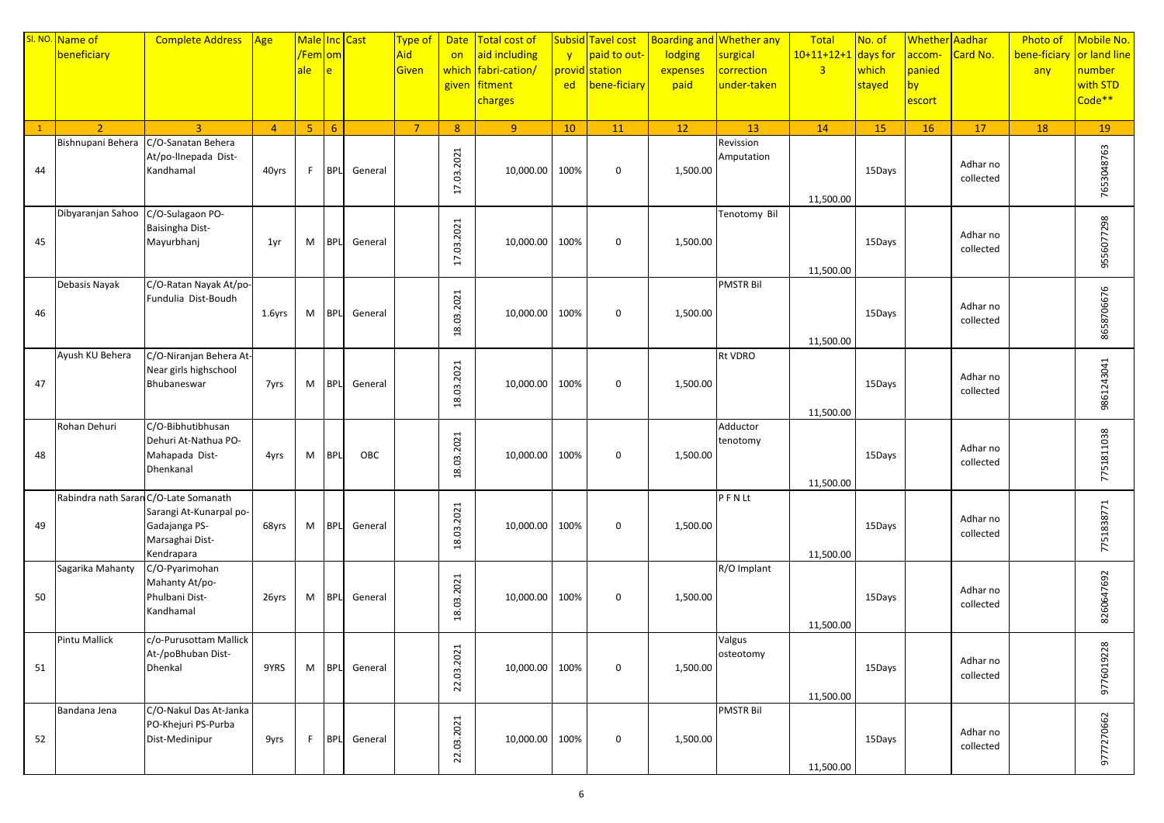|    | SI. NO. Name of                       | <b>Complete Address</b>                      | Age            | Male Inc Cast        |            |                    | Type of        | <b>Date</b>    | Total cost of       |              | Subsid Tavel cost |          | <b>Boarding and Whether any</b> | Total                 | No. of    | Whether Aadhar |                       | <b>Photo of</b> | Mobile No.   |
|----|---------------------------------------|----------------------------------------------|----------------|----------------------|------------|--------------------|----------------|----------------|---------------------|--------------|-------------------|----------|---------------------------------|-----------------------|-----------|----------------|-----------------------|-----------------|--------------|
|    | beneficiary                           |                                              |                | <mark>/Fem om</mark> |            |                    | Aid            | on             | aid including       | $\mathbf{v}$ | paid to out-      | lodging  | surgical                        | $10+11+12+1$ days for |           | accom-         | Card No.              | bene-ficiary    | or land line |
|    |                                       |                                              |                | ale                  | e          |                    | Given          |                | which fabri-cation/ |              | provid station    | expenses | correction                      | $\overline{3}$        | which     | panied         |                       | any             | number       |
|    |                                       |                                              |                |                      |            |                    |                |                | given fitment       | ed           | bene-ficiary      | paid     | under-taken                     |                       | stayed    | by             |                       |                 | with STD     |
|    |                                       |                                              |                |                      |            |                    |                |                | charges             |              |                   |          |                                 |                       |           | escort         |                       |                 | Code**       |
|    |                                       |                                              |                |                      |            |                    |                |                |                     |              |                   |          |                                 |                       |           |                |                       |                 |              |
| 1  | $\overline{2}$                        | $\overline{3}$                               | $\overline{4}$ | 5 <sup>7</sup>       | 6          |                    | $\overline{7}$ | 8 <sup>°</sup> | 9 <sup>°</sup>      | 10           | 11                | 12       | 13                              | 14                    | <b>15</b> | <b>16</b>      | 17                    | 18              | 19           |
|    | Bishnupani Behera                     | C/O-Sanatan Behera                           |                |                      |            |                    |                |                |                     |              |                   |          | Revission                       |                       |           |                |                       |                 |              |
|    |                                       | At/po-linepada Dist-                         |                |                      |            |                    |                |                |                     |              |                   |          | Amputation                      |                       |           |                |                       |                 |              |
| 44 |                                       | Kandhamal                                    | 40yrs          | F.                   | <b>BPL</b> | General            |                |                | 10,000.00           | 100%         | $\mathbf 0$       | 1,500.00 |                                 |                       | 15Days    |                | Adhar no<br>collected |                 |              |
|    |                                       |                                              |                |                      |            |                    |                | 17.03.2021     |                     |              |                   |          |                                 |                       |           |                |                       |                 | 7653048763   |
|    |                                       |                                              |                |                      |            |                    |                |                |                     |              |                   |          |                                 | 11,500.00             |           |                |                       |                 |              |
|    | Dibyaranjan Sahoo                     | C/O-Sulagaon PO-                             |                |                      |            |                    |                |                |                     |              |                   |          | Tenotomy Bil                    |                       |           |                |                       |                 |              |
|    |                                       | Baisingha Dist-                              |                |                      |            |                    |                | 17.03.2021     |                     |              |                   |          |                                 |                       |           |                | Adhar no              |                 | 9556077298   |
| 45 |                                       | Mayurbhanj                                   | 1yr            | M                    | <b>BPL</b> | General            |                |                | 10,000.00           | 100%         | $\boldsymbol{0}$  | 1,500.00 |                                 |                       | 15Days    |                | collected             |                 |              |
|    |                                       |                                              |                |                      |            |                    |                |                |                     |              |                   |          |                                 |                       |           |                |                       |                 |              |
|    | Debasis Nayak                         | C/O-Ratan Nayak At/po-                       |                |                      |            |                    |                |                |                     |              |                   |          | <b>PMSTR Bil</b>                | 11,500.00             |           |                |                       |                 |              |
|    |                                       | Fundulia Dist-Boudh                          |                |                      |            |                    |                |                |                     |              |                   |          |                                 |                       |           |                |                       |                 | 8658706676   |
| 46 |                                       |                                              | 1.6yrs         | M                    | <b>BPL</b> | General            |                | 18.03.2021     | 10,000.00 100%      |              | $\mathbf 0$       | 1,500.00 |                                 |                       | 15Days    |                | Adhar no              |                 |              |
|    |                                       |                                              |                |                      |            |                    |                |                |                     |              |                   |          |                                 |                       |           |                | collected             |                 |              |
|    |                                       |                                              |                |                      |            |                    |                |                |                     |              |                   |          |                                 | 11,500.00             |           |                |                       |                 |              |
|    | Ayush KU Behera                       | C/O-Niranjan Behera At-                      |                |                      |            |                    |                |                |                     |              |                   |          | Rt VDRO                         |                       |           |                |                       |                 |              |
|    |                                       | Near girls highschool                        |                |                      |            |                    |                | 18.03.2021     |                     |              |                   |          |                                 |                       |           |                |                       |                 | 9861243041   |
| 47 |                                       | Bhubaneswar                                  | 7yrs           | M                    | <b>BPL</b> | General            |                |                | 10,000.00 100%      |              | $\mathbf 0$       | 1,500.00 |                                 |                       | 15Days    |                | Adhar no<br>collected |                 |              |
|    |                                       |                                              |                |                      |            |                    |                |                |                     |              |                   |          |                                 |                       |           |                |                       |                 |              |
|    |                                       |                                              |                |                      |            |                    |                |                |                     |              |                   |          |                                 | 11,500.00             |           |                |                       |                 |              |
|    | Rohan Dehuri                          | C/O-Bibhutibhusan                            |                |                      |            |                    |                |                |                     |              |                   |          | Adductor                        |                       |           |                |                       |                 |              |
|    |                                       | Dehuri At-Nathua PO-                         |                |                      |            |                    |                | 18.03.2021     |                     |              |                   |          | tenotomy                        |                       |           |                | Adhar no              |                 | 7751811038   |
| 48 |                                       | Mahapada Dist-<br>Dhenkanal                  | 4yrs           | M                    | <b>BPL</b> | OBC                |                |                | 10,000.00           | 100%         | $\mathbf 0$       | 1,500.00 |                                 |                       | 15Days    |                | collected             |                 |              |
|    |                                       |                                              |                |                      |            |                    |                |                |                     |              |                   |          |                                 | 11,500.00             |           |                |                       |                 |              |
|    | Rabindra nath Saran C/O-Late Somanath |                                              |                |                      |            |                    |                |                |                     |              |                   |          | PFNLt                           |                       |           |                |                       |                 |              |
|    |                                       | Sarangi At-Kunarpal po-                      |                |                      |            |                    |                |                |                     |              |                   |          |                                 |                       |           |                |                       |                 | 7751838771   |
| 49 |                                       | Gadajanga PS-                                | 68yrs          | M                    | <b>BPL</b> | General            |                |                | 10,000.00 100%      |              | $\boldsymbol{0}$  | 1,500.00 |                                 |                       | 15Days    |                | Adhar no              |                 |              |
|    |                                       | Marsaghai Dist-                              |                |                      |            |                    |                | 18.03.2021     |                     |              |                   |          |                                 |                       |           |                | collected             |                 |              |
|    |                                       | Kendrapara                                   |                |                      |            |                    |                |                |                     |              |                   |          |                                 | 11,500.00             |           |                |                       |                 |              |
|    | Sagarika Mahanty                      | C/O-Pyarimohan                               |                |                      |            |                    |                |                |                     |              |                   |          | R/O Implant                     |                       |           |                |                       |                 |              |
|    |                                       | Mahanty At/po-                               |                |                      |            |                    |                | 18.03.2021     |                     |              |                   |          |                                 |                       |           |                | Adhar no              |                 | 8260647692   |
| 50 |                                       | Phulbani Dist-                               | 26yrs          | M                    | <b>BPL</b> | General            |                |                | 10,000.00 100%      |              | $\boldsymbol{0}$  | 1,500.00 |                                 |                       | 15Days    |                | collected             |                 |              |
|    |                                       | Kandhamal                                    |                |                      |            |                    |                |                |                     |              |                   |          |                                 |                       |           |                |                       |                 |              |
|    |                                       |                                              |                |                      |            |                    |                |                |                     |              |                   |          |                                 | 11,500.00             |           |                |                       |                 |              |
|    | Pintu Mallick                         | c/o-Purusottam Mallick<br>At-/poBhuban Dist- |                |                      |            |                    |                |                |                     |              |                   |          | Valgus<br>osteotomy             |                       |           |                |                       |                 |              |
| 51 |                                       | Dhenkal                                      | 9YRS           | M                    |            | <b>BPL</b> General |                |                | 10,000.00 100%      |              | $\mathbf 0$       | 1,500.00 |                                 |                       | 15Days    |                | Adhar no              |                 |              |
|    |                                       |                                              |                |                      |            |                    |                | 22.03.2021     |                     |              |                   |          |                                 |                       |           |                | collected             |                 | 9776019228   |
|    |                                       |                                              |                |                      |            |                    |                |                |                     |              |                   |          |                                 | 11,500.00             |           |                |                       |                 |              |
|    | Bandana Jena                          | C/O-Nakul Das At-Janka                       |                |                      |            |                    |                |                |                     |              |                   |          | <b>PMSTR Bil</b>                |                       |           |                |                       |                 |              |
|    |                                       | PO-Khejuri PS-Purba                          |                |                      |            |                    |                | 22.03.2021     |                     |              |                   |          |                                 |                       |           |                | Adhar no              |                 | 9777270662   |
| 52 |                                       | Dist-Medinipur                               | 9yrs           | F                    |            | <b>BPL</b> General |                |                | 10,000.00 100%      |              | 0                 | 1,500.00 |                                 |                       | 15Days    |                | collected             |                 |              |
|    |                                       |                                              |                |                      |            |                    |                |                |                     |              |                   |          |                                 |                       |           |                |                       |                 |              |
|    |                                       |                                              |                |                      |            |                    |                |                |                     |              |                   |          |                                 | 11,500.00             |           |                |                       |                 |              |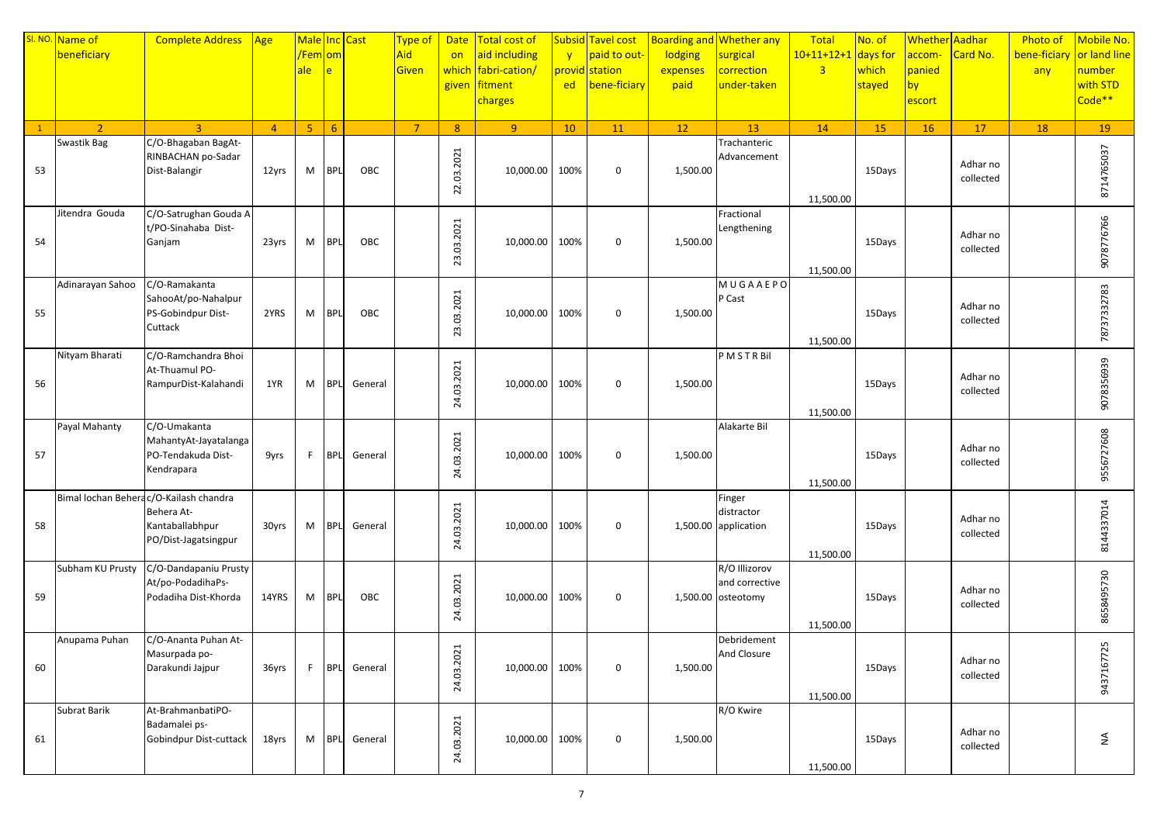|              | SI. NO. Name of                        | <b>Complete Address</b>          | $\sqrt{Age}$   | Male Inc Cast        |                |         | Type of        |                | Date   Total cost of |              | Subsid Tavel cost |          | <b>Boarding and Whether any</b> | Total                 | No. of | Whether Aadhar |                       | <b>Photo of</b>           | Mobile No.         |
|--------------|----------------------------------------|----------------------------------|----------------|----------------------|----------------|---------|----------------|----------------|----------------------|--------------|-------------------|----------|---------------------------------|-----------------------|--------|----------------|-----------------------|---------------------------|--------------------|
|              | beneficiary                            |                                  |                | <mark>/Fem om</mark> |                |         | Aid            | on             | aid including        | $\mathbf{v}$ | paid to out-      | lodging  | surgical                        | $10+11+12+1$ days for |        | accom-         | Card No.              | bene-ficiary or land line |                    |
|              |                                        |                                  |                | ale                  | e.             |         | Given          | which          | fabri-cation/        |              | provid station    | expenses | correction                      | $\overline{3}$        | which  | panied         |                       | any                       | number             |
|              |                                        |                                  |                |                      |                |         |                | given          | fitment              | ed           | bene-ficiary      | paid     | under-taken                     |                       | stayed | by             |                       |                           | with STD           |
|              |                                        |                                  |                |                      |                |         |                |                | charges              |              |                   |          |                                 |                       |        | escort         |                       |                           | Code <sup>**</sup> |
|              |                                        |                                  |                |                      |                |         |                |                |                      |              |                   |          |                                 |                       |        |                |                       |                           |                    |
| $\mathbf{1}$ | $\overline{2}$                         | $\mathbf{R}$                     | $\overline{4}$ | 5 <sub>1</sub>       | 6 <sup>1</sup> |         | $\overline{7}$ | 8 <sup>°</sup> | 9 <sup>°</sup>       | 10           | 11                | 12       | 13                              | 14                    | 15     | <b>16</b>      | 17                    | 18                        | 19                 |
|              | Swastik Bag                            | C/O-Bhagaban BagAt-              |                |                      |                |         |                |                |                      |              |                   |          | Trachanteric                    |                       |        |                |                       |                           |                    |
|              |                                        | RINBACHAN po-Sadar               |                |                      |                |         |                |                |                      |              |                   |          | Advancement                     |                       |        |                |                       |                           |                    |
| 53           |                                        | Dist-Balangir                    | 12yrs          | M                    | <b>BPL</b>     | OBC     |                |                | 10,000.00            | 100%         | $\mathbf 0$       | 1,500.00 |                                 |                       | 15Days |                | Adhar no<br>collected |                           |                    |
|              |                                        |                                  |                |                      |                |         |                | 22.03.2021     |                      |              |                   |          |                                 |                       |        |                |                       |                           | 8714765037         |
|              |                                        |                                  |                |                      |                |         |                |                |                      |              |                   |          |                                 | 11,500.00             |        |                |                       |                           |                    |
|              | Jitendra Gouda                         | C/O-Satrughan Gouda A            |                |                      |                |         |                |                |                      |              |                   |          | Fractional                      |                       |        |                |                       |                           |                    |
|              |                                        | t/PO-Sinahaba Dist-              |                |                      |                |         |                | 23.03.2021     |                      |              |                   |          | Lengthening                     |                       |        |                | Adhar no              |                           | 9078776766         |
| 54           |                                        | Ganjam                           | 23yrs          | M                    | <b>BPL</b>     | OBC     |                |                | 10,000.00            | 100%         | $\boldsymbol{0}$  | 1,500.00 |                                 |                       | 15Days |                | collected             |                           |                    |
|              |                                        |                                  |                |                      |                |         |                |                |                      |              |                   |          |                                 |                       |        |                |                       |                           |                    |
|              | Adinarayan Sahoo                       | C/O-Ramakanta                    |                |                      |                |         |                |                |                      |              |                   |          | MUGAAEPO                        | 11,500.00             |        |                |                       |                           |                    |
|              |                                        | SahooAt/po-Nahalpur              |                |                      |                |         |                |                |                      |              |                   |          | P Cast                          |                       |        |                |                       |                           | 78737332783        |
| 55           |                                        | PS-Gobindpur Dist-               | 2YRS           | M                    | <b>BPL</b>     | OBC     |                | 23.03.2021     | 10,000.00 100%       |              | $\mathbf 0$       | 1,500.00 |                                 |                       | 15Days |                | Adhar no              |                           |                    |
|              |                                        | Cuttack                          |                |                      |                |         |                |                |                      |              |                   |          |                                 |                       |        |                | collected             |                           |                    |
|              |                                        |                                  |                |                      |                |         |                |                |                      |              |                   |          |                                 | 11,500.00             |        |                |                       |                           |                    |
|              | Nityam Bharati                         | C/O-Ramchandra Bhoi              |                |                      |                |         |                |                |                      |              |                   |          | PMSTRBil                        |                       |        |                |                       |                           |                    |
|              |                                        | At-Thuamul PO-                   |                |                      |                |         |                | 24.03.2021     |                      |              |                   |          |                                 |                       |        |                |                       |                           | 9078356939         |
| 56           |                                        | RampurDist-Kalahandi             | 1YR            | M                    | <b>BPL</b>     | General |                |                | 10,000.00 100%       |              | $\mathbf 0$       | 1,500.00 |                                 |                       | 15Days |                | Adhar no<br>collected |                           |                    |
|              |                                        |                                  |                |                      |                |         |                |                |                      |              |                   |          |                                 |                       |        |                |                       |                           |                    |
|              |                                        |                                  |                |                      |                |         |                |                |                      |              |                   |          |                                 | 11,500.00             |        |                |                       |                           |                    |
|              | Payal Mahanty                          | C/O-Umakanta                     |                |                      |                |         |                |                |                      |              |                   |          | Alakarte Bil                    |                       |        |                |                       |                           |                    |
|              |                                        | MahantyAt-Jayatalanga            |                |                      |                |         |                | 24.03.2021     |                      |              |                   |          |                                 |                       |        |                | Adhar no              |                           | 9556727608         |
| 57           |                                        | PO-Tendakuda Dist-<br>Kendrapara | 9yrs           | F.                   | <b>BPL</b>     | General |                |                | 10,000.00            | 100%         | 0                 | 1,500.00 |                                 |                       | 15Days |                | collected             |                           |                    |
|              |                                        |                                  |                |                      |                |         |                |                |                      |              |                   |          |                                 | 11,500.00             |        |                |                       |                           |                    |
|              | Bimal lochan Beherac/O-Kailash chandra |                                  |                |                      |                |         |                |                |                      |              |                   |          | Finger                          |                       |        |                |                       |                           |                    |
|              |                                        | Behera At-                       |                |                      |                |         |                |                |                      |              |                   |          | distractor                      |                       |        |                |                       |                           | 8144337014         |
| 58           |                                        | Kantaballabhpur                  | 30yrs          | M                    | <b>BPL</b>     | General |                | 24.03.2021     | 10,000.00            | 100%         | $\boldsymbol{0}$  |          | 1,500.00 application            |                       | 15Days |                | Adhar no              |                           |                    |
|              |                                        | PO/Dist-Jagatsingpur             |                |                      |                |         |                |                |                      |              |                   |          |                                 |                       |        |                | collected             |                           |                    |
|              |                                        |                                  |                |                      |                |         |                |                |                      |              |                   |          |                                 | 11,500.00             |        |                |                       |                           |                    |
|              | Subham KU Prusty                       | C/O-Dandapaniu Prusty            |                |                      |                |         |                |                |                      |              |                   |          | R/O Illizorov                   |                       |        |                |                       |                           |                    |
|              |                                        | At/po-PodadihaPs-                |                |                      |                |         |                | 24.03.2021     |                      |              |                   |          | and corrective                  |                       |        |                | Adhar no              |                           |                    |
| 59           |                                        | Podadiha Dist-Khorda             | 14YRS          | M                    | <b>BPL</b>     | OBC     |                |                | 10,000.00 100%       |              | $\boldsymbol{0}$  |          | 1,500.00 osteotomy              |                       | 15Days |                | collected             |                           |                    |
|              |                                        |                                  |                |                      |                |         |                |                |                      |              |                   |          |                                 |                       |        |                |                       |                           | 8658495730         |
|              | Anupama Puhan                          | C/O-Ananta Puhan At-             |                |                      |                |         |                |                |                      |              |                   |          |                                 | 11,500.00             |        |                |                       |                           |                    |
|              |                                        | Masurpada po-                    |                |                      |                |         |                |                |                      |              |                   |          | Debridement<br>And Closure      |                       |        |                |                       |                           | 9437167725         |
| 60           |                                        | Darakundi Jajpur                 | 36yrs          | F.                   | <b>BPL</b>     | General |                |                | 10,000.00 100%       |              | 0                 | 1,500.00 |                                 |                       | 15Days |                | Adhar no              |                           |                    |
|              |                                        |                                  |                |                      |                |         |                | 24.03.2021     |                      |              |                   |          |                                 |                       |        |                | collected             |                           |                    |
|              |                                        |                                  |                |                      |                |         |                |                |                      |              |                   |          |                                 | 11,500.00             |        |                |                       |                           |                    |
|              | Subrat Barik                           | At-BrahmanbatiPO-                |                |                      |                |         |                |                |                      |              |                   |          | R/O Kwire                       |                       |        |                |                       |                           |                    |
|              |                                        | Badamalei ps-                    |                |                      |                |         |                | 24.03.2021     |                      |              |                   |          |                                 |                       |        |                | Adhar no              |                           |                    |
| 61           |                                        | Gobindpur Dist-cuttack           | 18yrs          | M                    | <b>BPL</b>     | General |                |                | 10,000.00 100%       |              | 0                 | 1,500.00 |                                 |                       | 15Days |                | collected             |                           | $\lessgtr$         |
|              |                                        |                                  |                |                      |                |         |                |                |                      |              |                   |          |                                 |                       |        |                |                       |                           |                    |
|              |                                        |                                  |                |                      |                |         |                |                |                      |              |                   |          |                                 | 11,500.00             |        |                |                       |                           |                    |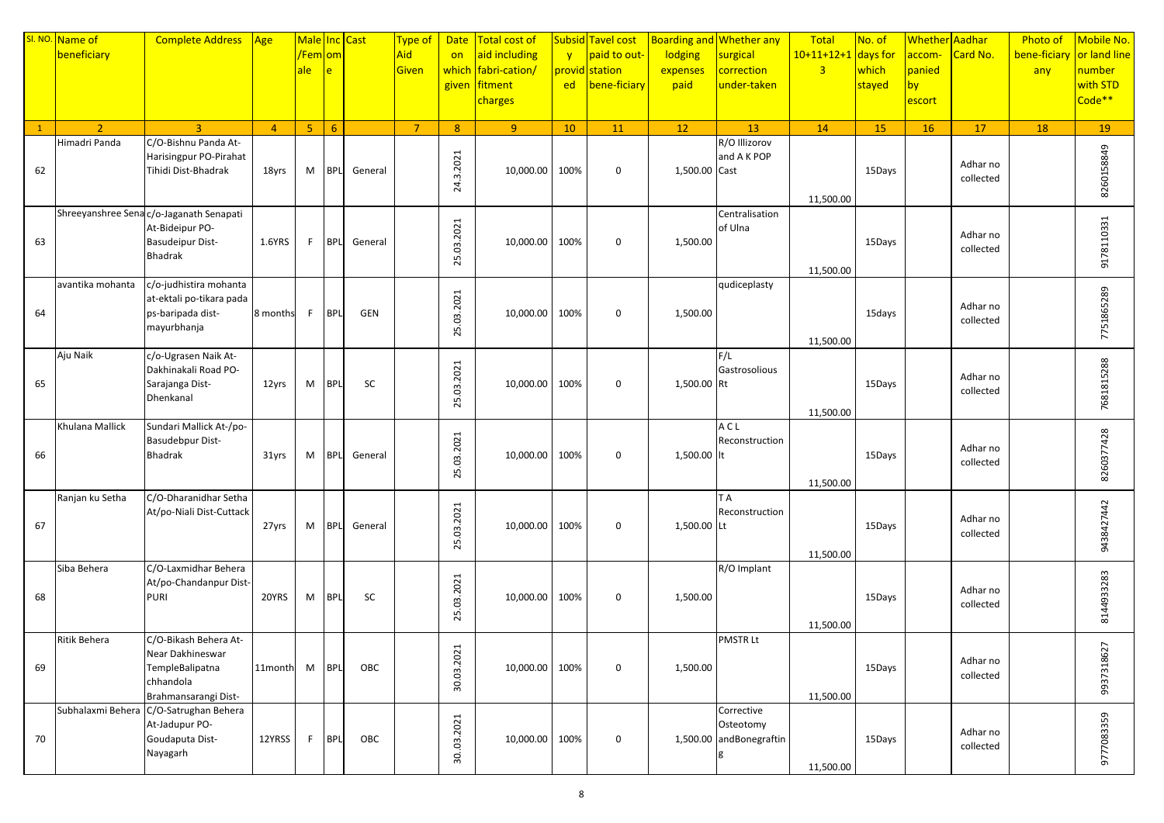|              | SI. NO. Name of  | <b>Complete Address</b>                     | $\sqrt{Age}$   | Male Inc Cast        |                |            | Type of        |                | Date   Total cost of |              | Subsid Tavel cost |               | Boarding and Whether any | Total                 | No. of    | Whether Aadhar |           | <b>Photo of</b>           | Mobile No.         |
|--------------|------------------|---------------------------------------------|----------------|----------------------|----------------|------------|----------------|----------------|----------------------|--------------|-------------------|---------------|--------------------------|-----------------------|-----------|----------------|-----------|---------------------------|--------------------|
|              | beneficiary      |                                             |                | <mark>/Fem om</mark> |                |            | Aid            | on             | aid including        | $\mathbf{v}$ | paid to out-      | lodging       | surgical                 | $10+11+12+1$ days for |           | accom-         | Card No.  | bene-ficiary or land line |                    |
|              |                  |                                             |                | ale                  | $\overline{e}$ |            | Given          |                | which fabri-cation/  |              | provid station    | expenses      | correction               | $\overline{3}$        | which     | panied         |           | any                       | number             |
|              |                  |                                             |                |                      |                |            |                |                | given fitment        | ed           | bene-ficiary      | paid          | under-taken              |                       | stayed    | by             |           |                           | with STD           |
|              |                  |                                             |                |                      |                |            |                |                | charges              |              |                   |               |                          |                       |           | escort         |           |                           | Code <sup>**</sup> |
|              |                  |                                             |                |                      |                |            |                |                |                      |              |                   |               |                          |                       |           |                |           |                           |                    |
| $\mathbf{1}$ | 2 <sup>1</sup>   | $\overline{3}$                              | $\overline{4}$ | 5 <sub>1</sub>       | $6^{\circ}$    |            | $\overline{7}$ | 8 <sup>°</sup> | 9 <sup>°</sup>       | 10           | 11                | 12            | 13                       | 14                    | <b>15</b> | <b>16</b>      | 17        | 18                        | 19                 |
|              | Himadri Panda    | C/O-Bishnu Panda At-                        |                |                      |                |            |                |                |                      |              |                   |               | R/O Illizorov            |                       |           |                |           |                           |                    |
|              |                  | Harisingpur PO-Pirahat                      |                |                      |                |            |                | 24.3.2021      |                      |              |                   |               | and A K POP              |                       |           |                | Adhar no  |                           |                    |
| 62           |                  | Tihidi Dist-Bhadrak                         | 18yrs          | M                    | <b>BPL</b>     | General    |                |                | 10,000.00            | 100%         | $\mathbf 0$       | 1,500.00 Cast |                          |                       | 15Days    |                | collected |                           |                    |
|              |                  |                                             |                |                      |                |            |                |                |                      |              |                   |               |                          |                       |           |                |           |                           | 8260158849         |
|              |                  |                                             |                |                      |                |            |                |                |                      |              |                   |               |                          | 11,500.00             |           |                |           |                           |                    |
|              |                  | Shreeyanshree Sena c/o-Jaganath Senapati    |                |                      |                |            |                |                |                      |              |                   |               | Centralisation           |                       |           |                |           |                           |                    |
|              |                  | At-Bideipur PO-                             |                |                      |                |            |                | 25.03.2021     |                      |              |                   |               | of Ulna                  |                       |           |                | Adhar no  |                           | 9178110331         |
| 63           |                  | <b>Basudeipur Dist-</b><br>Bhadrak          | 1.6YRS         | F.                   | <b>BPL</b>     | General    |                |                | 10,000.00            | 100%         | $\boldsymbol{0}$  | 1,500.00      |                          |                       | 15Days    |                | collected |                           |                    |
|              |                  |                                             |                |                      |                |            |                |                |                      |              |                   |               |                          | 11,500.00             |           |                |           |                           |                    |
|              | avantika mohanta | c/o-judhistira mohanta                      |                |                      |                |            |                |                |                      |              |                   |               | qudiceplasty             |                       |           |                |           |                           |                    |
|              |                  | at-ektali po-tikara pada                    |                |                      |                |            |                |                |                      |              |                   |               |                          |                       |           |                |           |                           | 7751865289         |
| 64           |                  | ps-baripada dist-                           | 8 months       | F.                   | <b>BPL</b>     | <b>GEN</b> |                | 25.03.2021     | 10,000.00 100%       |              | $\mathbf 0$       | 1,500.00      |                          |                       | 15days    |                | Adhar no  |                           |                    |
|              |                  | mayurbhanja                                 |                |                      |                |            |                |                |                      |              |                   |               |                          |                       |           |                | collected |                           |                    |
|              |                  |                                             |                |                      |                |            |                |                |                      |              |                   |               |                          | 11,500.00             |           |                |           |                           |                    |
|              | Aju Naik         | c/o-Ugrasen Naik At-                        |                |                      |                |            |                |                |                      |              |                   |               | F/L                      |                       |           |                |           |                           |                    |
|              |                  | Dakhinakali Road PO-                        |                |                      |                |            |                | 25.03.2021     |                      |              |                   |               | Gastrosolious            |                       |           |                | Adhar no  |                           |                    |
| 65           |                  | Sarajanga Dist-                             | 12yrs          | M                    | <b>BPL</b>     | SC         |                |                | 10,000.00 100%       |              | $\mathbf 0$       | 1,500.00 Rt   |                          |                       | 15Days    |                | collected |                           |                    |
|              |                  | Dhenkanal                                   |                |                      |                |            |                |                |                      |              |                   |               |                          |                       |           |                |           |                           | 7681815288         |
|              | Khulana Mallick  |                                             |                |                      |                |            |                |                |                      |              |                   |               | A C L                    | 11,500.00             |           |                |           |                           |                    |
|              |                  | Sundari Mallick At-/po-<br>Basudebpur Dist- |                |                      |                |            |                |                |                      |              |                   |               | Reconstruction           |                       |           |                |           |                           |                    |
| 66           |                  | Bhadrak                                     | 31yrs          | M                    | <b>BPL</b>     | General    |                | 25.03.2021     | 10,000.00            | 100%         | $\mathbf 0$       | 1,500.00 lt   |                          |                       | 15Days    |                | Adhar no  |                           | 8260377428         |
|              |                  |                                             |                |                      |                |            |                |                |                      |              |                   |               |                          |                       |           |                | collected |                           |                    |
|              |                  |                                             |                |                      |                |            |                |                |                      |              |                   |               |                          | 11,500.00             |           |                |           |                           |                    |
|              | Ranjan ku Setha  | C/O-Dharanidhar Setha                       |                |                      |                |            |                |                |                      |              |                   |               | T A                      |                       |           |                |           |                           |                    |
|              |                  | At/po-Niali Dist-Cuttack                    |                |                      |                |            |                | 25.03.2021     |                      |              |                   |               | Reconstruction           |                       |           |                | Adhar no  |                           | 9438427442         |
| 67           |                  |                                             | 27yrs          | M                    | <b>BPL</b>     | General    |                |                | 10,000.00 100%       |              | $\boldsymbol{0}$  | 1,500.00 Lt   |                          |                       | 15Days    |                | collected |                           |                    |
|              |                  |                                             |                |                      |                |            |                |                |                      |              |                   |               |                          |                       |           |                |           |                           |                    |
|              |                  |                                             |                |                      |                |            |                |                |                      |              |                   |               |                          | 11,500.00             |           |                |           |                           |                    |
|              | Siba Behera      | C/O-Laxmidhar Behera                        |                |                      |                |            |                |                |                      |              |                   |               | R/O Implant              |                       |           |                |           |                           |                    |
|              |                  | At/po-Chandanpur Dist-                      |                |                      |                |            |                | 25.03.2021     |                      |              |                   |               |                          |                       |           |                | Adhar no  |                           | 8144933283         |
| 68           |                  | <b>PURI</b>                                 | 20YRS          | M                    | <b>BPL</b>     | SC         |                |                | 10,000.00 100%       |              | $\boldsymbol{0}$  | 1,500.00      |                          |                       | 15Days    |                | collected |                           |                    |
|              |                  |                                             |                |                      |                |            |                |                |                      |              |                   |               |                          | 11,500.00             |           |                |           |                           |                    |
|              | Ritik Behera     | C/O-Bikash Behera At-                       |                |                      |                |            |                |                |                      |              |                   |               | <b>PMSTRLt</b>           |                       |           |                |           |                           |                    |
|              |                  | Near Dakhineswar                            |                |                      |                |            |                |                |                      |              |                   |               |                          |                       |           |                |           |                           | 9937318627         |
| 69           |                  | TempleBalipatna                             | 11month        | M                    | <b>BPL</b>     | OBC        |                |                | 10,000.00 100%       |              | 0                 | 1,500.00      |                          |                       | 15Days    |                | Adhar no  |                           |                    |
|              |                  | chhandola                                   |                |                      |                |            |                | 30.03.2021     |                      |              |                   |               |                          |                       |           |                | collected |                           |                    |
|              |                  | Brahmansarangi Dist-                        |                |                      |                |            |                |                |                      |              |                   |               |                          | 11,500.00             |           |                |           |                           |                    |
|              |                  | Subhalaxmi Behera C/O-Satrughan Behera      |                |                      |                |            |                |                |                      |              |                   |               | Corrective               |                       |           |                |           |                           |                    |
|              |                  | At-Jadupur PO-                              |                |                      |                |            |                | 3003.2021      |                      |              |                   |               | Osteotomy                |                       |           |                | Adhar no  |                           | 9777083359         |
| 70           |                  | Goudaputa Dist-                             | 12YRSS         | F.                   | <b>BPL</b>     | OBC        |                |                | 10,000.00 100%       |              | $\boldsymbol{0}$  |               | 1,500.00 andBonegraftin  |                       | 15Days    |                | collected |                           |                    |
|              |                  | Nayagarh                                    |                |                      |                |            |                |                |                      |              |                   |               |                          |                       |           |                |           |                           |                    |
|              |                  |                                             |                |                      |                |            |                |                |                      |              |                   |               |                          | 11,500.00             |           |                |           |                           |                    |